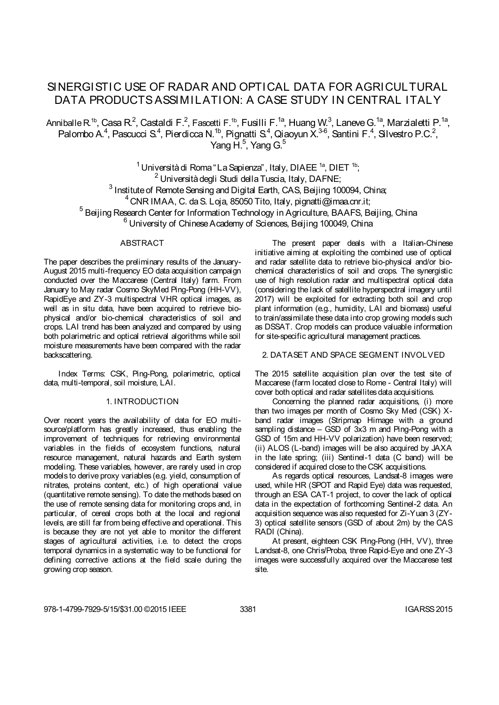# SINERGISTIC USE OF RADAR AND OPTICAL DATA FOR AGRICULTURAL DATA PRODUCTS ASSIMILATION: A CASE STUDY IN CENTRAL ITALY

Anniballe R<sup>1b</sup>, Casa R<sup>2</sup>, Castaldi F.<sup>2</sup>, Fascetti F.<sup>1b</sup>, Fusilli F.<sup>1a</sup>, Huang W.<sup>3</sup>, Laneve G.<sup>1a</sup>, Marzialetti P.<sup>1a</sup>, Palombo A.<sup>4</sup>, Pascucci S.<sup>4</sup>, Pierdicca N.<sup>1b</sup>, Pignatti S.<sup>4</sup>, Qiaoyun X.<sup>3-6</sup>, Santini F.<sup>4</sup>, Silvestro P.C.<sup>2</sup>, Yang H. $^5$ , Yang G. $^5$ 

 $1$  Università di Roma "La Sapienza", Italy, DIAEE<sup>1a</sup>, DIET<sup>1b</sup>; <sup>2</sup> Università degli Studi della Tuscia, Italy, DAFNE; <sup>3</sup> Institute of Remote Sensing and Digital Earth, CAS, Beijing 100094, China;  $^{4}$  CNR IMAA, C. da S. Loja, 85050 Tito, Italy, pignatti@imaa.cnr.it; <sup>5</sup> Beijing Research Center for Information Technology in Agriculture, BAAFS, Beijing, China <sup>6</sup> University of Chinese Academy of Sciences, Beijing 100049, China

# ABSTRACT

The paper describes the preliminary results of the January-August 2015 multi-frequency EO data acquisition campaign conducted over the Maccarese (Central Italy) farm. From January to May radar Cosmo SkyMed Ping-Pong (HH-VV), RapidEye and ZY-3 multispectral VHR optical images, as well as in situ data, have been acquired to retrieve biophysical and/or bio-chemical characteristics of soil and crops. LAI trend has been analyzed and compared by using both polarimetric and optical retrieval algorithms while soil moisture measurements have been compared with the radar backscattering.

Index Terms: CSK, Ping-Pong, polarimetric, optical data, multi-temporal, soil moisture, LAI.

### 1. INTRODUCTION

Over recent years the availability of data for EO multisource/platform has greatly increased, thus enabling the improvement of techniques for retrieving environmental variables in the fields of ecosystem functions, natural resource management, natural hazards and Earth system modeling. These variables, however, are rarely used in crop models to derive proxy variables (e.g. yield, consumption of nitrates, proteins content, etc.) of high operational value (quantitative remote sensing). To date the methods based on the use of remote sensing data for monitoring crops and, in particular, of cereal crops both at the local and regional levels, are still far from being effective and operational. This is because they are not yet able to monitor the different stages of agricultural activities, i.e. to detect the crops temporal dynamics in a systematic way to be functional for defining corrective actions at the field scale during the growing crop season.

The present paper deals with a Italian-Chinese initiative aiming at exploiting the combined use of optical and radar satellite data to retrieve bio-physical and/or biochemical characteristics of soil and crops. The synergistic use of high resolution radar and multispectral optical data (considering the lack of satellite hyperspectral imagery until 2017) will be exploited for extracting both soil and crop plant information (e.g., humidity, LAI and biomass) useful to train/assimilate these data into crop growing models such as DSSAT. Crop models can produce valuable information for site-specific agricultural management practices.

2. DATASET AND SPACE SEGMENT INVOLVED

The 2015 satellite acquisition plan over the test site of Maccarese (farm located close to Rome - Central Italy) will cover both optical and radar satellites data acquisitions.

Concerning the planned radar acquisitions, (i) more than two images per month of Cosmo Sky Med (CSK) Xband radar images (Stripmap Himage with a ground sampling distance – GSD of 3x3 m and Ping-Pong with a GSD of 15m and HH-VV polarization) have been reserved; (ii) ALOS (L-band) images will be also acquired by JAXA in the late spring; (iii) Sentinel-1 data (C band) will be considered if acquired close to the CSK acquisitions.

As regards optical resources, Landsat-8 images were used, while HR (SPOT and Rapid Eye) data was requested, through an ESA CAT-1 project, to cover the lack of optical data in the expectation of forthcoming Sentinel-2 data. An acquisition sequence was also requested for Zi-Yuan 3 (ZY-3) optical satellite sensors (GSD of about 2m) by the CAS RADI (China).

At present, eighteen CSK Ping-Pong (HH, VV), three Landsat-8, one Chris/Proba, three Rapid-Eye and one ZY-3 images were successfully acquired over the Maccarese test site.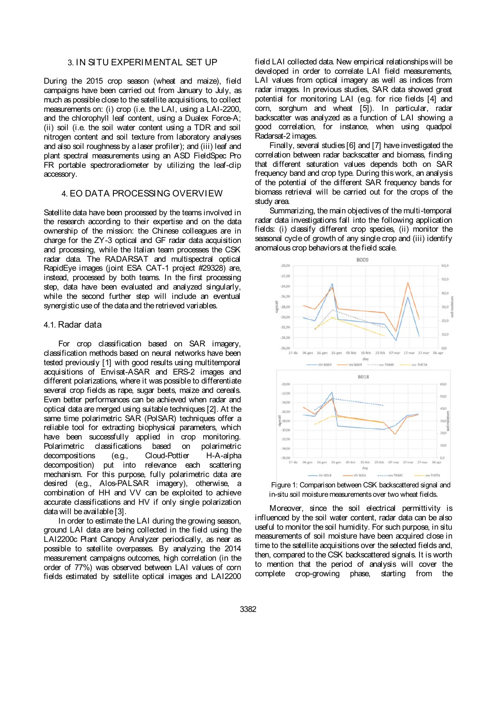## 3. IN SITU EXPERIMENTAL SET UP

During the 2015 crop season (wheat and maize), field campaigns have been carried out from January to July, as much as possible close to the satellite acquisitions, to collect measurements on: (i) crop (i.e. the LAI, using a LAI-2200, and the chlorophyll leaf content, using a Dualex Force-A; (ii) soil (i.e. the soil water content using a TDR and soil nitrogen content and soil texture from laboratory analyses and also soil roughness by a laser profiler); and (iii) leaf and plant spectral measurements using an ASD FieldSpec Pro FR portable spectroradiometer by utilizing the leaf-clip accessory.

## 4. EO DATA PROCESSING OVERVIEW

Satellite data have been processed by the teams involved in the research according to their expertise and on the data ownership of the mission: the Chinese colleagues are in charge for the ZY-3 optical and GF radar data acquisition and processing, while the Italian team processes the CSK radar data. The RADARSAT and multispectral optical RapidEye images (joint ESA CAT-1 project #29328) are, instead, processed by both teams. In the first processing step, data have been evaluated and analyzed singularly, while the second further step will include an eventual synergistic use of the data and the retrieved variables.

## 4.1. Radar data

For crop classification based on SAR imagery, classification methods based on neural networks have been tested previously [1] with good results using multitemporal acquisitions of Envisat-ASAR and ERS-2 images and different polarizations, where it was possible to differentiate several crop fields as rape, sugar beets, maize and cereals. Even better performances can be achieved when radar and optical data are merged using suitable techniques [2]. At the same time polarimetric SAR (PolSAR) techniques offer a reliable tool for extracting biophysical parameters, which have been successfully applied in crop monitoring. Polarimetric classifications based on decompositions (e.g., Cloud-Pottier H-A-alpha decomposition) put into relevance each scattering mechanism. For this purpose, fully polarimetric data are desired (e.g., Alos-PALSAR imagery), otherwise, a combination of HH and VV can be exploited to achieve accurate classifications and HV if only single polarization data will be available [3].

In order to estimate the LAI during the growing season, ground LAI data are being collected in the field using the LAI2200c Plant Canopy Analyzer periodically, as near as possible to satellite overpasses. By analyzing the 2014 measurement campaigns outcomes, high correlation (in the order of 77%) was observed between LAI values of corn fields estimated by satellite optical images and LAI2200

field LAI collected data. New empirical relationships will be developed in order to correlate LAI field measurements, LAI values from optical imagery as well as indices from radar images. In previous studies, SAR data showed great potential for monitoring LAI (e.g. for rice fields [4] and corn, sorghum and wheat [5]). In particular, radar backscatter was analyzed as a function of LAI showing a good correlation, for instance, when using quadpol Radarsat-2 images.

Finally, several studies [6] and [7] have investigated the correlation between radar backscatter and biomass, finding that different saturation values depends both on SAR frequency band and crop type. During this work, an analysis of the potential of the different SAR frequency bands for biomass retrieval will be carried out for the crops of the study area.

Summarizing, the main objectives of the multi-temporal radar data investigations fall into the following application fields: (i) classify different crop species, (ii) monitor the seasonal cycle of growth of any single crop and (iii) identify anomalous crop behaviors at the field scale.



Figure 1: Comparison between CSK backscattered signal and in-situ soil moisture measurements over two wheat fields.

Moreover, since the soil electrical permittivity is influenced by the soil water content, radar data can be also useful to monitor the soil humidity. For such purpose, in situ measurements of soil moisture have been acquired close in time to the satellite acquisitions over the selected fields and, then, compared to the CSK backscattered signals. It is worth to mention that the period of analysis will cover the complete crop-growing phase, starting from the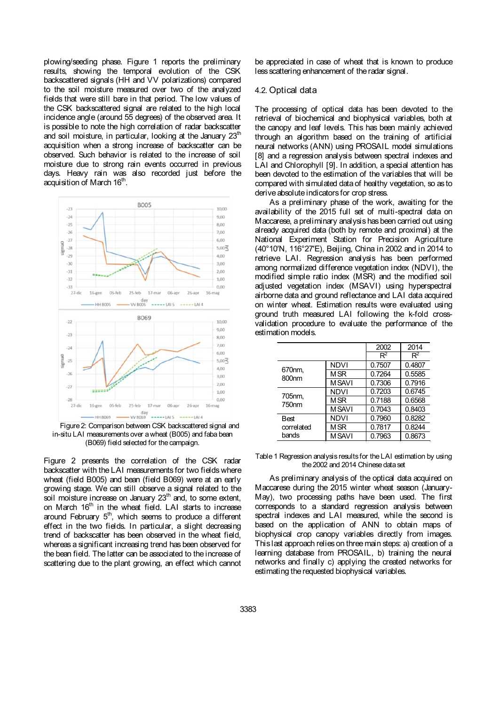plowing/seeding phase. Figure 1 reports the preliminary results, showing the temporal evolution of the CSK backscattered signals (HH and VV polarizations) compared to the soil moisture measured over two of the analyzed fields that were still bare in that period. The low values of the CSK backscattered signal are related to the high local incidence angle (around 55 degrees) of the observed area. It is possible to note the high correlation of radar backscatter and soil moisture, in particular, looking at the January  $23<sup>th</sup>$ acquisition when a strong increase of backscatter can be observed. Such behavior is related to the increase of soil moisture due to strong rain events occurred in previous days. Heavy rain was also recorded just before the acquisition of March 16<sup>th</sup>.



Figure 2: Comparison between CSK backscattered signal and in-situ LAI measurements over a wheat (B005) and faba bean (B069) field selected for the campaign.

Figure 2 presents the correlation of the CSK radar backscatter with the LAI measurements for two fields where wheat (field B005) and bean (field B069) were at an early growing stage. We can still observe a signal related to the soil moisture increase on January 23<sup>th</sup> and, to some extent, on March 16<sup>th</sup> in the wheat field. LAI starts to increase around February  $5<sup>th</sup>$ , which seems to produce a different effect in the two fields. In particular, a slight decreasing trend of backscatter has been observed in the wheat field, whereas a significant increasing trend has been observed for the bean field. The latter can be associated to the increase of scattering due to the plant growing, an effect which cannot

be appreciated in case of wheat that is known to produce less scattering enhancement of the radar signal.

#### 4.2. Optical data

The processing of optical data has been devoted to the retrieval of biochemical and biophysical variables, both at the canopy and leaf levels. This has been mainly achieved through an algorithm based on the training of artificial neural networks (ANN) using PROSAIL model simulations [8] and a regression analysis between spectral indexes and LAI and Chlorophyll [9]. In addition, a special attention has been devoted to the estimation of the variables that will be compared with simulated data of healthy vegetation, so as to derive absolute indicators for crop stress.

As a preliminary phase of the work, awaiting for the availability of the 2015 full set of multi-spectral data on Maccarese, a preliminary analysis has been carried out using already acquired data (both by remote and proximal) at the National Experiment Station for Precision Agriculture (40°10′N, 116°27′E), Beijing, China in 2002 and in 2014 to retrieve LAI. Regression analysis has been performed among normalized difference vegetation index (NDVI), the modified simple ratio index (MSR) and the modified soil adjusted vegetation index (MSAVI) using hyperspectral airborne data and ground reflectance and LAI data acquired on winter wheat. Estimation results were evaluated using ground truth measured LAI following the k-fold crossvalidation procedure to evaluate the performance of the estimation models.

|                             |              | 2002   | 2014   |
|-----------------------------|--------------|--------|--------|
|                             |              | $R^2$  | $R^2$  |
| 670nm.<br>800 <sub>nm</sub> | <b>NDVI</b>  | 0.7507 | 0.4807 |
|                             | M SR         | 0.7264 | 0.5585 |
|                             | <b>MSAVI</b> | 0.7306 | 0.7916 |
| 705nm.<br>750 <sub>nm</sub> | <b>NDVI</b>  | 0.7203 | 0.6745 |
|                             | M SR         | 0.7188 | 0.6568 |
|                             | <b>MSAVI</b> | 0.7043 | 0.8403 |
| Best                        | <b>NDVI</b>  | 0.7960 | 0.8282 |
| correlated<br>bands         | <b>MSR</b>   | 0.7817 | 0.8244 |
|                             | <b>MSAVI</b> | 0.7963 | 0.8673 |

#### Table 1 Regression analysis results for the LAI estimation by using the 2002 and 2014 Chinese data set

As preliminary analysis of the optical data acquired on Maccarese during the 2015 winter wheat season (January-May), two processing paths have been used. The first corresponds to a standard regression analysis between spectral indexes and LAI measured, while the second is based on the application of ANN to obtain maps of biophysical crop canopy variables directly from images. This last approach relies on three main steps: a) creation of a learning database from PROSAIL, b) training the neural networks and finally c) applying the created networks for estimating the requested biophysical variables.